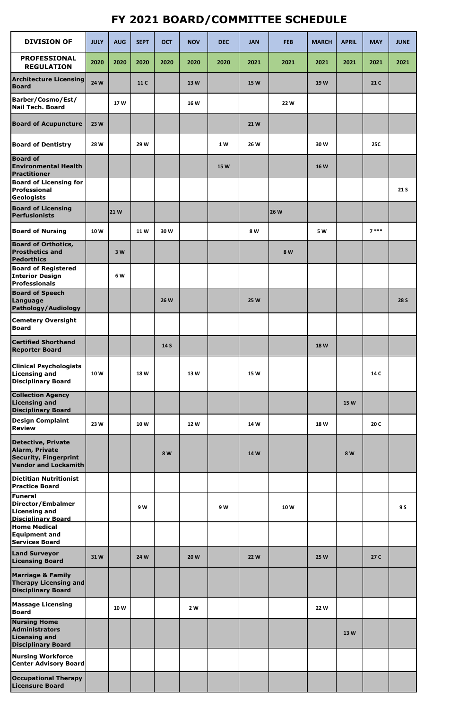## **FY 2021 BOARD/COMMITTEE SCHEDULE**

| <b>DIVISION OF</b>                                                                                         | <b>JULY</b> | <b>AUG</b> | <b>SEPT</b> | <b>OCT</b>  | <b>NOV</b> | <b>DEC</b>  | <b>JAN</b>  | <b>FEB</b>  | <b>MARCH</b> | <b>APRIL</b> | <b>MAY</b> | <b>JUNE</b> |
|------------------------------------------------------------------------------------------------------------|-------------|------------|-------------|-------------|------------|-------------|-------------|-------------|--------------|--------------|------------|-------------|
| <b>PROFESSIONAL</b><br><b>REGULATION</b>                                                                   | 2020        | 2020       | 2020        | 2020        | 2020       | 2020        | 2021        | 2021        | 2021         | 2021         | 2021       | 2021        |
| <b>Architecture Licensing</b><br><b>Board</b>                                                              | 24 W        |            | 11 C        |             | 13 W       |             | <b>15 W</b> |             | 19W          |              | 21 C       |             |
| <b>Barber/Cosmo/Est/</b><br><b>Nail Tech. Board</b>                                                        |             | 17W        |             |             | 16 W       |             |             | 22 W        |              |              |            |             |
| <b>Board of Acupuncture</b>                                                                                | 23 W        |            |             |             |            |             | 21W         |             |              |              |            |             |
| <b>Board of Dentistry</b>                                                                                  | 28 W        |            | 29 W        |             |            | 1 W         | 26 W        |             | 30W          |              | <b>25C</b> |             |
| <b>Board of</b><br><b>Environmental Health</b><br>Practitioner                                             |             |            |             |             |            | <b>15 W</b> |             |             | <b>16W</b>   |              |            |             |
| <b>Board of Licensing for</b><br><b>Professional</b><br>Geologists                                         |             |            |             |             |            |             |             |             |              |              |            | 21 S        |
| <b>Board of Licensing</b><br>Perfusionists                                                                 |             | <b>21W</b> |             |             |            |             |             | <b>26 W</b> |              |              |            |             |
| <b>Board of Nursing</b>                                                                                    | 10W         |            | <b>11W</b>  | 30W         |            |             | 8 W         |             | 5 W          |              | $7***$     |             |
| <b>Board of Orthotics,</b><br><b>Prosthetics and</b><br>Pedorthics                                         |             | 3 W        |             |             |            |             |             | 8 W         |              |              |            |             |
| <b>Board of Registered</b><br><b>Interior Design</b><br><b>Professionals</b>                               |             | 6 W        |             |             |            |             |             |             |              |              |            |             |
| <b>Board of Speech</b><br>Language<br>Pathology/Audiology                                                  |             |            |             | <b>26 W</b> |            |             | <b>25 W</b> |             |              |              |            | <b>28 S</b> |
| <b>Cemetery Oversight</b><br><b>Board</b>                                                                  |             |            |             |             |            |             |             |             |              |              |            |             |
| <b>Certified Shorthand</b><br><b>Reporter Board</b>                                                        |             |            |             | 14 S        |            |             |             |             | <b>18W</b>   |              |            |             |
| <b>Clinical Psychologists</b><br>Licensing and<br><b>Disciplinary Board</b>                                | 10W         |            | 18W         |             | 13 W       |             | <b>15 W</b> |             |              |              | 14 C       |             |
| <b>Collection Agency</b><br><b>Licensing and</b><br><b>Disciplinary Board</b>                              |             |            |             |             |            |             |             |             |              | <b>15 W</b>  |            |             |
| <b>Design Complaint</b><br><b>Review</b>                                                                   | 23W         |            | 10W         |             | 12 W       |             | 14 W        |             | 18 W         |              | 20 C       |             |
| <b>Detective, Private</b><br>Alarm, Private<br><b>Security, Fingerprint</b><br><b>Vendor and Locksmith</b> |             |            |             | 8 W         |            |             | 14 W        |             |              | 8 W          |            |             |
| Dietitian Nutritionist<br><b>Practice Board</b>                                                            |             |            |             |             |            |             |             |             |              |              |            |             |
| Funeral<br>Director/Embalmer<br>Licensing and<br><b>Disciplinary Board</b>                                 |             |            | 9 W         |             |            | 9W          |             | 10 W        |              |              |            | 9 S         |
| <b>Home Medical</b><br><b>Equipment and</b><br><b>Services Board</b>                                       |             |            |             |             |            |             |             |             |              |              |            |             |
| <b>Land Surveyor</b><br><b>Licensing Board</b>                                                             | 31W         |            | 24 W        |             | 20 W       |             | <b>22W</b>  |             | 25 W         |              | 27 C       |             |
| <b>Marriage &amp; Family</b><br><b>Therapy Licensing and</b><br><b>Disciplinary Board</b>                  |             |            |             |             |            |             |             |             |              |              |            |             |
| <b>Massage Licensing</b><br><b>Board</b>                                                                   |             | 10W        |             |             | 2 W        |             |             |             | 22 W         |              |            |             |
| <b>Nursing Home</b><br>Administrators<br><b>Licensing and</b><br><b>Disciplinary Board</b>                 |             |            |             |             |            |             |             |             |              | 13W          |            |             |
| <b>Nursing Workforce</b><br><b>Center Advisory Board</b>                                                   |             |            |             |             |            |             |             |             |              |              |            |             |
| <b>Occupational Therapy</b><br><b>Licensure Board</b>                                                      |             |            |             |             |            |             |             |             |              |              |            |             |